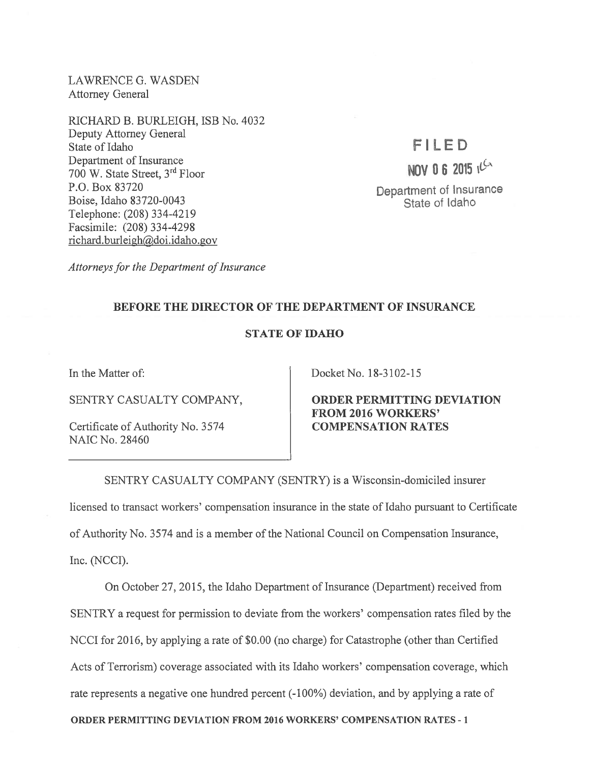LAWRENCE G. WASDEN Attorney General

RICHARD B. BURLEIGH, ISB No. 4032 Deputy Attorney General State of Idaho Department of Insurance <sup>700</sup> W. State Street, 3rd Floor P.O. Box 83720 Boise, Idaho 83720-0043 Telephone: (208) 334-4219 Facsimile: (208) 334-4298 richard.burleigh@doi.idaho.gov

## FILED

NOV 0 6 2015 ich

Department of Insurance State of Idaho

Attorneys for the Department of Insurance

## BEFORE THE DIRECTOR OF THE DEPARTMENT OF INSURANCE

## STATE OF IDAHO

In the Matter of:

SENTRY CASUALTY COMPANY,

Certificate of Authority No. 3574 NAIC No. 28460

Docket No. 18-3102-15

ORDER PERMITTING DEVIATION FROM 2016 WORKERS' COMPENSATION RATES

SENTRY CASUALTY COMPANY (SENTRY) is <sup>a</sup> Wisconsin-domiciled insurer licensed to transact workers' compensation insurance in the state of Idaho pursuan<sup>t</sup> to Certificate of Authority No. 3574 and is <sup>a</sup> member of the National Council on Compensation Insurance, Inc. (NCCI).

On October 27, 2015, the Idaho Department of Insurance (Department) received from SENTRY <sup>a</sup> reques<sup>t</sup> for permission to deviate from the workers' compensation rates filed by the NCCI for 2016, by applying <sup>a</sup> rate of \$0.00 (no charge) for Catastrophe (other than Certified Acts of Terrorism) coverage associated with its Idaho workers' compensation coverage, which rate represents <sup>a</sup> negative one hundred percen<sup>t</sup> (-100%) deviation, and by applying <sup>a</sup> rate of

ORDER PERMITTING DEVIATION FROM 2016 WORKERS' COMPENSATION RATES -1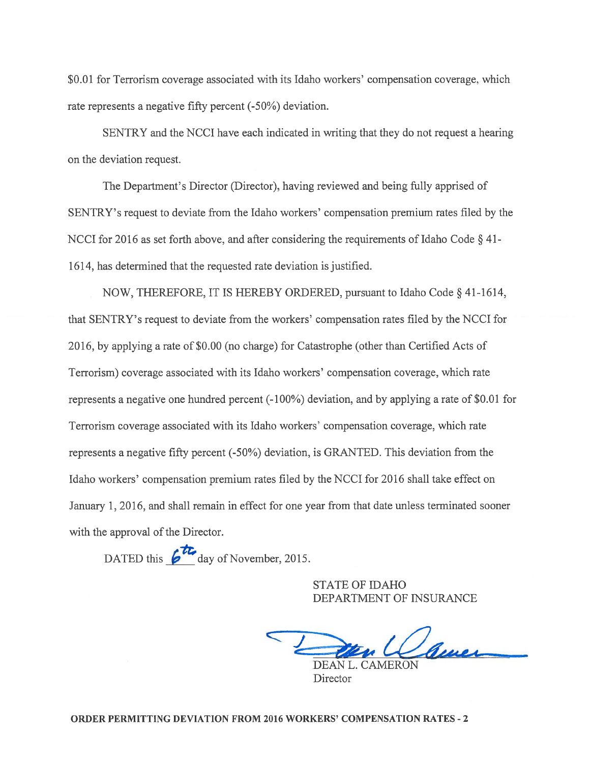\$0.01 for Terrorism coverage associated with its Idaho workers' compensation coverage, which rate represents <sup>a</sup> negative fifty percen<sup>t</sup> (-50%) deviation.

SENTRY and the NCCI have each indicated in writing that they do not reques<sup>t</sup> <sup>a</sup> hearing on the deviation request.

The Department's Director (Director), having reviewed and being fully apprised of SENTRY's reques<sup>t</sup> to deviate from the Idaho workers' compensation premium rates filed by the NCCI for 2016 as set forth above, and after considering the requirements of Idaho Code § 41-1614, has determined that the requested rate deviation is justified.

NOW, THEREFORE, IT IS HEREBY ORDERED, pursuan<sup>t</sup> to Idaho Code § 41-1614, that SENTRY's reques<sup>t</sup> to deviate from the workers' compensation rates filed by the NCCI for 2016, by applying <sup>a</sup> rate of \$0.00 (no charge) for Catastrophe (other than Certified Acts of Terrorism) coverage associated with its Idaho workers' compensation coverage, which rate represents <sup>a</sup> negative one hundred percen<sup>t</sup> (-100%) deviation, and by applying <sup>a</sup> rate of \$0.01 for Terrorism coverage associated with its Idaho workers' compensation coverage, which rate represents <sup>a</sup> negative fifty percen<sup>t</sup> (-50%) deviation, is GRANTED. This deviation from the Idaho workers' compensation premium rates filed by the NCCI for 2016 shall take effect on January 1, 2016, and shall remain in effect for one year from that date unless terminated sooner with the approval of the Director. or Terrorism coverage associated with its Ida<br>
esents a negative fifty percent (-50%) devia<br>
SENTRY and the NCCI have each indicated<br>
eviation request.<br>
The Department's Director (Director), havin<br>
Y's request to deviate

STATE OF IDAHO DEPARTMENT OF INSURANCE

DEAN L. CAMERON

**Director**